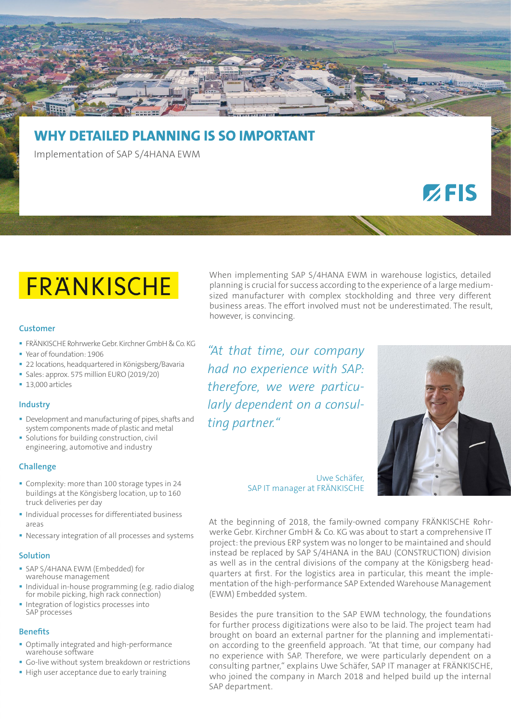# **WHY DETAILED PLANNING IS SO IMPORTANT**

Implementation of SAP S/4HANA EWM

# FRANKISCHE

### **Customer**

- FRÄNKISCHE Rohrwerke Gebr. Kirchner GmbH & Co. KG
- Year of foundation: 1906
- **22 locations, headquartered in Königsberg/Bavaria**
- Sales: approx. 575 million EURO (2019/20)
- 13,000 articles

# **Industry**

- Development and manufacturing of pipes, shafts and system components made of plastic and metal
- **Solutions for building construction, civil** engineering, automotive and industry

# **Challenge**

- Complexity: more than 100 storage types in 24 buildings at the Köngisberg location, up to 160 truck deliveries per day
- **Individual processes for differentiated business** areas
- Necessary integration of all processes and systems

#### **Solution**

- SAP S/4HANA EWM (Embedded) for warehouse management
- **Individual in-house programming (e.g. radio dialogular** for mobile picking, high rack connection)
- **Integration of logistics processes into** SAP processes

#### **Benefits**

- Optimally integrated and high-performance warehouse software
- Go-live without system breakdown or restrictions
- High user acceptance due to early training

When implementing SAP S/4HANA EWM in warehouse logistics, detailed planning is crucial for success according to the experience of a large mediumsized manufacturer with complex stockholding and three very different business areas. The effort involved must not be underestimated. The result, however, is convincing.

*"At that time, our company had no experience with SAP: therefore, we were particularly dependent on a consulting partner."*



 $Z$ FIS

Uwe Schäfer, SAP IT manager at FRÄNKISCHE

At the beginning of 2018, the family-owned company FRÄNKISCHE Rohrwerke Gebr. Kirchner GmbH & Co. KG was about to start a comprehensive IT project: the previous ERP system was no longer to be maintained and should instead be replaced by SAP S/4HANA in the BAU (CONSTRUCTION) division as well as in the central divisions of the company at the Königsberg headquarters at first. For the logistics area in particular, this meant the implementation of the high-performance SAP Extended Warehouse Management (EWM) Embedded system.

Besides the pure transition to the SAP EWM technology, the foundations for further process digitizations were also to be laid. The project team had brought on board an external partner for the planning and implementation according to the greenfield approach. "At that time, our company had no experience with SAP. Therefore, we were particularly dependent on a consulting partner," explains Uwe Schäfer, SAP IT manager at FRÄNKISCHE, who joined the company in March 2018 and helped build up the internal SAP department.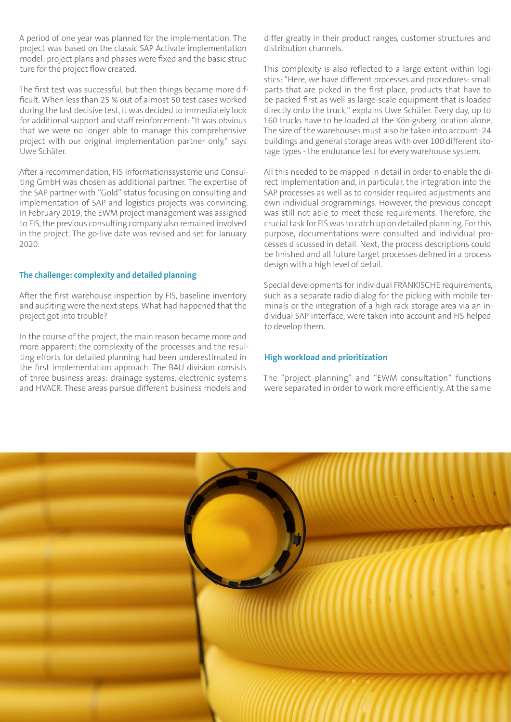A period of one year was planned for the implementation. The project was based on the classic SAP Activate implementation model: project plans and phases were fixed and the basic structure for the project flow created.

The first test was successful, but then things became more difficult. When less than 25 % out of almost 50 test cases worked during the last decisive test, it was decided to immediately look for additional support and staff reinforcement: "It was obvious that we were no longer able to manage this comprehensive project with our original implementation partner only," says Uwe Schäfer.

After a recommendation, FIS Informationssysteme und Consulting GmbH was chosen as additional partner. The expertise of the SAP partner with "Gold" status focusing on consulting and implementation of SAP and logistics projects was convincing. In February 2019, the EWM project management was assigned to FIS, the previous consulting company also remained involved in the project. The go-live date was revised and set for January 2020.

# **The challenge: complexity and detailed planning**

After the first warehouse inspection by FIS, baseline inventory and auditing were the next steps. What had happened that the project got into trouble?

In the course of the project, the main reason became more and more apparent: the complexity of the processes and the resulting efforts for detailed planning had been underestimated in the first implementation approach. The BAU division consists of three business areas: drainage systems, electronic systems and HVACR. These areas pursue different business models and differ greatly in their product ranges, customer structures and distribution channels.

This complexity is also reflected to a large extent within logistics: "Here, we have different processes and procedures: small parts that are picked in the first place, products that have to be packed first as well as large-scale equipment that is loaded directly onto the truck," explains Uwe Schäfer. Every day, up to 160 trucks have to be loaded at the Königsberg location alone. The size of the warehouses must also be taken into account: 24 buildings and general storage areas with over 100 different storage types - the endurance test for every warehouse system.

All this needed to be mapped in detail in order to enable the direct implementation and, in particular, the integration into the SAP processes as well as to consider required adjustments and own individual programmings. However, the previous concept was still not able to meet these requirements. Therefore, the crucial task for FIS was to catch up on detailed planning. For this purpose, documentations were consulted and individual processes discussed in detail. Next, the process descriptions could be finished and all future target processes defined in a process design with a high level of detail.

Special developments for individual FRÄNKISCHE requirements, such as a separate radio dialog for the picking with mobile terminals or the integration of a high rack storage area via an individual SAP interface, were taken into account and FIS helped to develop them.

# **High workload and prioritization**

The "project planning" and "EWM consultation" functions were separated in order to work more efficiently. At the same

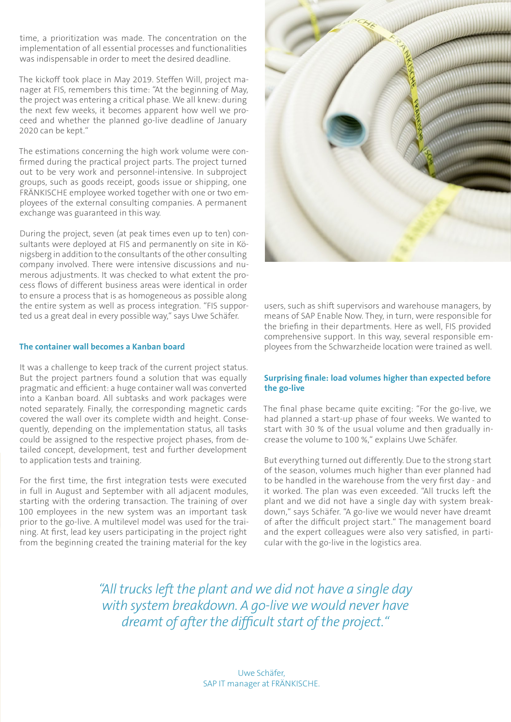time, a prioritization was made. The concentration on the implementation of all essential processes and functionalities was indispensable in order to meet the desired deadline.

The kickoff took place in May 2019. Steffen Will, project manager at FIS, remembers this time: "At the beginning of May, the project was entering a critical phase. We all knew: during the next few weeks, it becomes apparent how well we proceed and whether the planned go-live deadline of January 2020 can be kept."

The estimations concerning the high work volume were confirmed during the practical project parts. The project turned out to be very work and personnel-intensive. In subproject groups, such as goods receipt, goods issue or shipping, one FRÄNKISCHE employee worked together with one or two employees of the external consulting companies. A permanent exchange was guaranteed in this way.

During the project, seven (at peak times even up to ten) consultants were deployed at FIS and permanently on site in Königsberg in addition to the consultants of the other consulting company involved. There were intensive discussions and numerous adjustments. It was checked to what extent the process flows of different business areas were identical in order to ensure a process that is as homogeneous as possible along the entire system as well as process integration. "FIS supported us a great deal in every possible way," says Uwe Schäfer.

### **The container wall becomes a Kanban board**

It was a challenge to keep track of the current project status. But the project partners found a solution that was equally pragmatic and efficient: a huge container wall was converted into a Kanban board. All subtasks and work packages were noted separately. Finally, the corresponding magnetic cards covered the wall over its complete width and height. Consequently, depending on the implementation status, all tasks could be assigned to the respective project phases, from detailed concept, development, test and further development to application tests and training.

For the first time, the first integration tests were executed in full in August and September with all adjacent modules, starting with the ordering transaction. The training of over 100 employees in the new system was an important task prior to the go-live. A multilevel model was used for the training. At first, lead key users participating in the project right from the beginning created the training material for the key



users, such as shift supervisors and warehouse managers, by means of SAP Enable Now. They, in turn, were responsible for the briefing in their departments. Here as well, FIS provided comprehensive support. In this way, several responsible employees from the Schwarzheide location were trained as well.

### **Surprising finale: load volumes higher than expected before the go-live**

The final phase became quite exciting: "For the go-live, we had planned a start-up phase of four weeks. We wanted to start with 30 % of the usual volume and then gradually increase the volume to 100 %," explains Uwe Schäfer.

But everything turned out differently. Due to the strong start of the season, volumes much higher than ever planned had to be handled in the warehouse from the very first day - and it worked. The plan was even exceeded. "All trucks left the plant and we did not have a single day with system breakdown," says Schäfer. "A go-live we would never have dreamt of after the difficult project start." The management board and the expert colleagues were also very satisfied, in particular with the go-live in the logistics area.

*"All trucks left the plant and we did not have a single day with system breakdown. A go-live we would never have dreamt of after the difficult start of the project."*